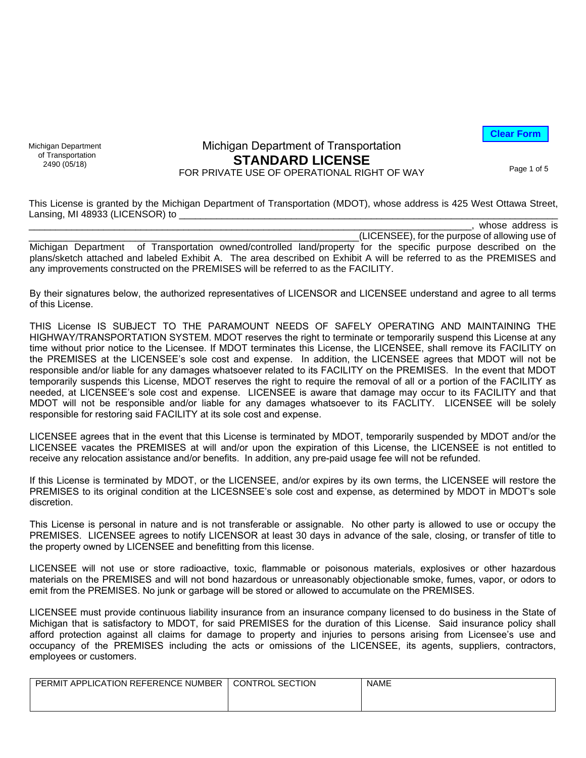**Clear Form**

Michigan Department of Transportation<br>2490 (05/18)

### **STANDARD LICENSE** 2490 (05/18)<br>FOR PRIVATE USE OF OPERATIONAL RIGHT OF WAY Page 1 of 5 Michigan Department of Transportation

This License is granted by the Michigan Department of Transportation (MDOT), whose address is 425 West Ottawa Street, Lansing, MI 48933 (LICENSOR) to

|                                                                                                                      | whose address is                               |
|----------------------------------------------------------------------------------------------------------------------|------------------------------------------------|
|                                                                                                                      | (LICENSEE), for the purpose of allowing use of |
| Michigan Department of Transportation owned/controlled land/property for the specific purpose described on the       |                                                |
| plans/sketch attached and labeled Exhibit A. The area described on Exhibit A will be referred to as the PREMISES and |                                                |
| any improvements constructed on the PREMISES will be referred to as the FACILITY.                                    |                                                |

By their signatures below, the authorized representatives of LICENSOR and LICENSEE understand and agree to all terms of this License.

THIS License IS SUBJECT TO THE PARAMOUNT NEEDS OF SAFELY OPERATING AND MAINTAINING THE HIGHWAY/TRANSPORTATION SYSTEM. MDOT reserves the right to terminate or temporarily suspend this License at any time without prior notice to the Licensee. If MDOT terminates this License, the LICENSEE, shall remove its FACILITY on the PREMISES at the LICENSEE's sole cost and expense. In addition, the LICENSEE agrees that MDOT will not be responsible and/or liable for any damages whatsoever related to its FACILITY on the PREMISES. In the event that MDOT temporarily suspends this License, MDOT reserves the right to require the removal of all or a portion of the FACILITY as needed, at LICENSEE's sole cost and expense. LICENSEE is aware that damage may occur to its FACILITY and that MDOT will not be responsible and/or liable for any damages whatsoever to its FACLITY. LICENSEE will be solely responsible for restoring said FACILITY at its sole cost and expense.

LICENSEE agrees that in the event that this License is terminated by MDOT, temporarily suspended by MDOT and/or the LICENSEE vacates the PREMISES at will and/or upon the expiration of this License, the LICENSEE is not entitled to receive any relocation assistance and/or benefits. In addition, any pre-paid usage fee will not be refunded.

If this License is terminated by MDOT, or the LICENSEE, and/or expires by its own terms, the LICENSEE will restore the PREMISES to its original condition at the LICESNSEE's sole cost and expense, as determined by MDOT in MDOT's sole discretion.

This License is personal in nature and is not transferable or assignable. No other party is allowed to use or occupy the PREMISES. LICENSEE agrees to notify LICENSOR at least 30 days in advance of the sale, closing, or transfer of title to the property owned by LICENSEE and benefitting from this license.

LICENSEE will not use or store radioactive, toxic, flammable or poisonous materials, explosives or other hazardous materials on the PREMISES and will not bond hazardous or unreasonably objectionable smoke, fumes, vapor, or odors to emit from the PREMISES. No junk or garbage will be stored or allowed to accumulate on the PREMISES.

LICENSEE must provide continuous liability insurance from an insurance company licensed to do business in the State of Michigan that is satisfactory to MDOT, for said PREMISES for the duration of this License. Said insurance policy shall afford protection against all claims for damage to property and injuries to persons arising from Licensee's use and occupancy of the PREMISES including the acts or omissions of the LICENSEE, its agents, suppliers, contractors, employees or customers.

| T APPLICATION REFERENCE NUMBER<br><b>PERMIT</b> | <b>CONTROL</b><br><b>SECTION</b> | <b>NAME</b> |
|-------------------------------------------------|----------------------------------|-------------|
|                                                 |                                  |             |
|                                                 |                                  |             |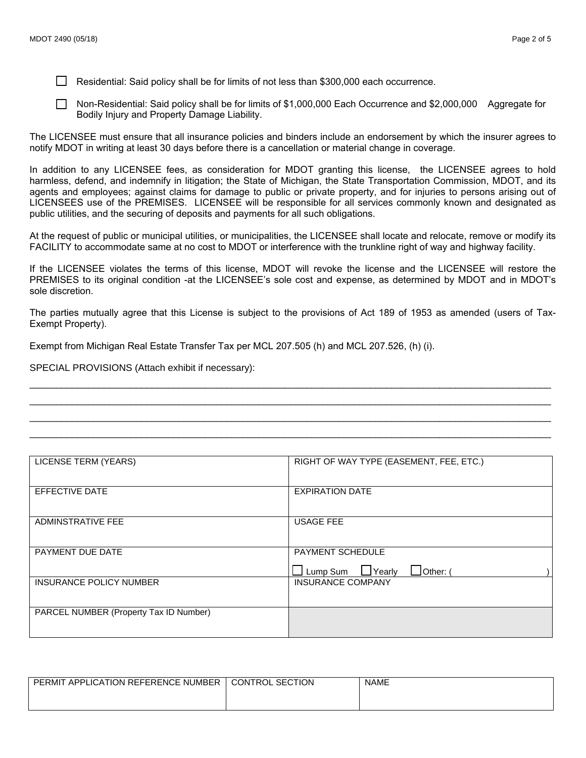Residential: Said policy shall be for limits of not less than \$300,000 each occurrence.

Non-Residential: Said policy shall be for limits of \$1,000,000 Each Occurrence and \$2,000,000 Aggregate for Bodily Injury and Property Damage Liability.

The LICENSEE must ensure that all insurance policies and binders include an endorsement by which the insurer agrees to notify MDOT in writing at least 30 days before there is a cancellation or material change in coverage.

In addition to any LICENSEE fees, as consideration for MDOT granting this license, the LICENSEE agrees to hold harmless, defend, and indemnify in litigation; the State of Michigan, the State Transportation Commission, MDOT, and its agents and employees; against claims for damage to public or private property, and for injuries to persons arising out of LICENSEES use of the PREMISES. LICENSEE will be responsible for all services commonly known and designated as public utilities, and the securing of deposits and payments for all such obligations.

At the request of public or municipal utilities, or municipalities, the LICENSEE shall locate and relocate, remove or modify its FACILITY to accommodate same at no cost to MDOT or interference with the trunkline right of way and highway facility.

If the LICENSEE violates the terms of this license, MDOT will revoke the license and the LICENSEE will restore the PREMISES to its original condition -at the LICENSEE's sole cost and expense, as determined by MDOT and in MDOT's sole discretion.

The parties mutually agree that this License is subject to the provisions of Act 189 of 1953 as amended (users of Tax-Exempt Property).

 $\_$  ,  $\_$  ,  $\_$  ,  $\_$  ,  $\_$  ,  $\_$  ,  $\_$  ,  $\_$  ,  $\_$  ,  $\_$  ,  $\_$  ,  $\_$  ,  $\_$  ,  $\_$  ,  $\_$  ,  $\_$  ,  $\_$  ,  $\_$  ,  $\_$  ,  $\_$  ,  $\_$  ,  $\_$  ,  $\_$  ,  $\_$  ,  $\_$  ,  $\_$  ,  $\_$  ,  $\_$  ,  $\_$  ,  $\_$  ,  $\_$  ,  $\_$  ,  $\_$  ,  $\_$  ,  $\_$  ,  $\_$  ,  $\_$  ,  $\_$  , and the set of the set of the set of the set of the set of the set of the set of the set of the set of the set of the set of the set of the set of the set of the set of the set of the set of the set of the set of th  $\_$  , and the set of the set of the set of the set of the set of the set of the set of the set of the set of the set of the set of the set of the set of the set of the set of the set of the set of the set of the set of th  $\_$  , and the set of the set of the set of the set of the set of the set of the set of the set of the set of the set of the set of the set of the set of the set of the set of the set of the set of the set of the set of th

Exempt from Michigan Real Estate Transfer Tax per MCL 207.505 (h) and MCL 207.526, (h) (i).

SPECIAL PROVISIONS (Attach exhibit if necessary):

| LICENSE TERM (YEARS)                   | RIGHT OF WAY TYPE (EASEMENT, FEE, ETC.)                                       |  |
|----------------------------------------|-------------------------------------------------------------------------------|--|
| EFFECTIVE DATE                         | <b>EXPIRATION DATE</b>                                                        |  |
| ADMINSTRATIVE FEE                      | <b>USAGE FEE</b>                                                              |  |
| PAYMENT DUE DATE                       | <b>PAYMENT SCHEDULE</b><br>$\perp$ Lump Sum<br>$\Box$ Yearly<br>$\Box$ Other: |  |
| <b>INSURANCE POLICY NUMBER</b>         | <b>INSURANCE COMPANY</b>                                                      |  |
| PARCEL NUMBER (Property Tax ID Number) |                                                                               |  |

| APPLICATION REFERENCE NUMBER<br><b>PERMIT</b> | <b>CONTROL SECTION</b> | <b>NAME</b> |
|-----------------------------------------------|------------------------|-------------|
|                                               |                        |             |
|                                               |                        |             |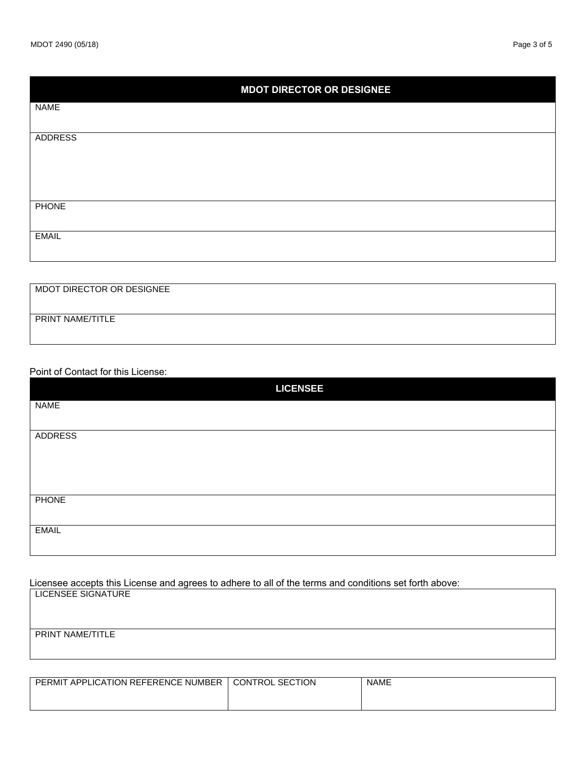| <b>MDOT DIRECTOR OR DESIGNEE</b> |  |  |
|----------------------------------|--|--|
| <b>NAME</b>                      |  |  |
| <b>ADDRESS</b>                   |  |  |
|                                  |  |  |
|                                  |  |  |
| <b>PHONE</b>                     |  |  |
| <b>EMAIL</b>                     |  |  |
|                                  |  |  |

| MDOT DIRECTOR OR DESIGNEE |  |
|---------------------------|--|
|                           |  |
| PRINT NAME/TITLE          |  |
|                           |  |

#### Point of Contact for this License:

| <b>LICENSEE</b> |
|-----------------|
| <b>NAME</b>     |
|                 |
| <b>ADDRESS</b>  |
|                 |
|                 |
|                 |
| <b>PHONE</b>    |
|                 |
| <b>EMAIL</b>    |
|                 |
|                 |

Licensee accepts this License and agrees to adhere to all of the terms and conditions set forth above:

LICENSEE SIGNATURE

#### PRINT NAME/TITLE

| PERMIT APPLICATION REFERENCE NUMBER | <b>CONTROL SECTION</b> | <b>NAME</b> |
|-------------------------------------|------------------------|-------------|
|                                     |                        |             |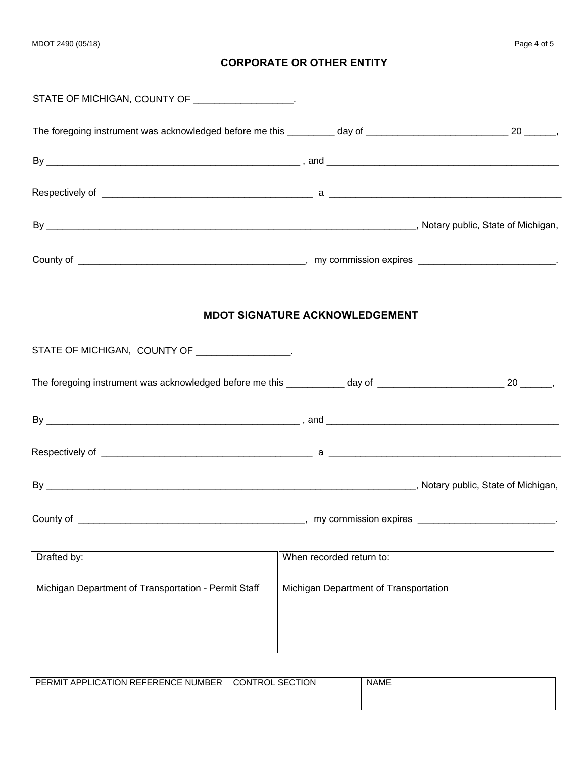# **CORPORATE OR OTHER ENTITY**

| STATE OF MICHIGAN, COUNTY OF __________________.                                                                        |                                       |  |
|-------------------------------------------------------------------------------------------------------------------------|---------------------------------------|--|
| The foregoing instrument was acknowledged before me this _________ day of _________________________________ 20 _______, |                                       |  |
|                                                                                                                         |                                       |  |
|                                                                                                                         |                                       |  |
|                                                                                                                         |                                       |  |
|                                                                                                                         |                                       |  |
|                                                                                                                         | <b>MDOT SIGNATURE ACKNOWLEDGEMENT</b> |  |
| STATE OF MICHIGAN, COUNTY OF ___________________                                                                        |                                       |  |
| The foregoing instrument was acknowledged before me this _________ day of ________________________________ 20 _______,  |                                       |  |
|                                                                                                                         |                                       |  |
|                                                                                                                         |                                       |  |
|                                                                                                                         |                                       |  |
| County of                                                                                                               |                                       |  |
| Drafted by:                                                                                                             | When recorded return to:              |  |
| Michigan Department of Transportation - Permit Staff                                                                    | Michigan Department of Transportation |  |
|                                                                                                                         |                                       |  |
|                                                                                                                         |                                       |  |

| APPLICATION REFERENCE NUMBER<br>PERMIT | <b>CONTROL SECTION</b> | <b>NAME</b> |
|----------------------------------------|------------------------|-------------|
|                                        |                        |             |
|                                        |                        |             |